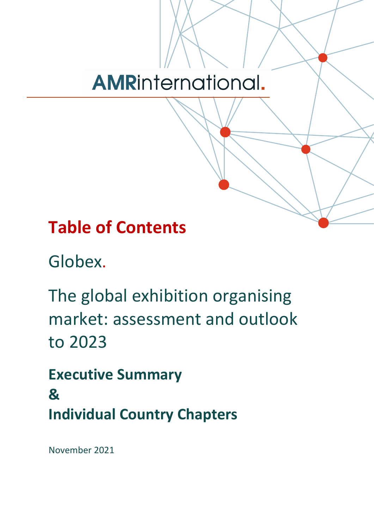# **AMRinternational.**

## **Table of Contents**

Globex.

The global exhibition organising market: assessment and outlook to 2023

**Executive Summary & Individual Country Chapters**

November 2021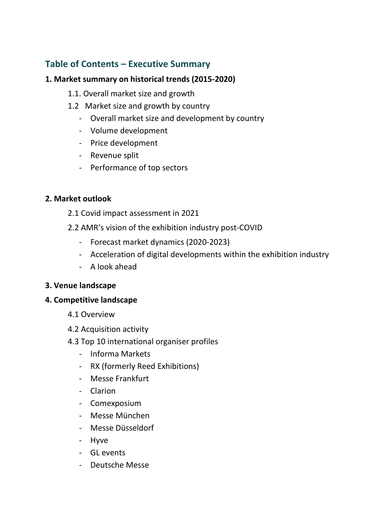## **Table of Contents – Executive Summary**

#### **1. Market summary on historical trends (2015-2020)**

- 1.1. Overall market size and growth
- 1.2 Market size and growth by country
	- Overall market size and development by country
	- Volume development
	- Price development
	- Revenue split
	- Performance of top sectors

#### **2. Market outlook**

- 2.1 Covid impact assessment in 2021
- 2.2 AMR's vision of the exhibition industry post-COVID
	- Forecast market dynamics (2020-2023)
	- Acceleration of digital developments within the exhibition industry
	- A look ahead

#### **3. Venue landscape**

#### **4. Competitive landscape**

- 4.1 Overview
- 4.2 Acquisition activity
- 4.3 Top 10 international organiser profiles
	- Informa Markets
	- RX (formerly Reed Exhibitions)
	- Messe Frankfurt
	- Clarion
	- Comexposium
	- Messe München
	- Messe Düsseldorf
	- Hyve
	- GL events
	- Deutsche Messe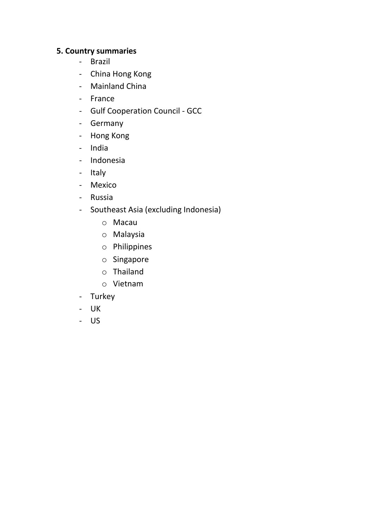## **5. Country summaries**

- Brazil
- China Hong Kong
- Mainland China
- France
- Gulf Cooperation Council GCC
- Germany
- Hong Kong
- India
- Indonesia
- Italy
- Mexico
- Russia
- Southeast Asia (excluding Indonesia)
	- o Macau
	- o Malaysia
	- o Philippines
	- o Singapore
	- o Thailand
	- o Vietnam
- Turkey
- UK
- US